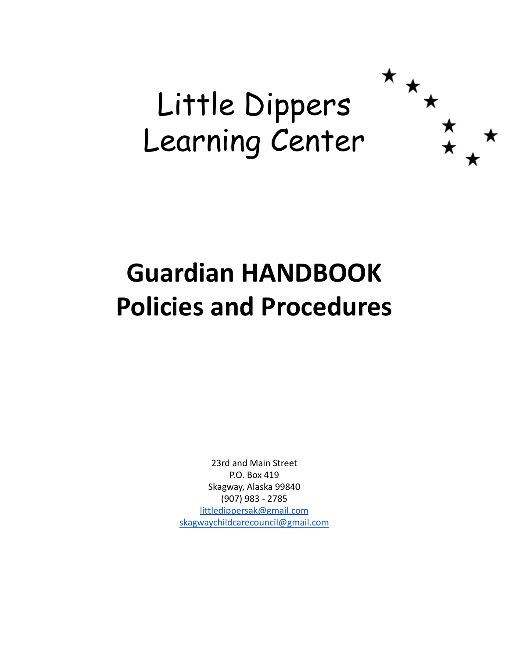# Little Dippers Learning Center

 $\star$   $\star$ 

# **Guardian HANDBOOK Policies and Procedures**

23rd and Main Street P.O. Box 419 Skagway, Alaska 99840 (907) 983 - 2785 [littledippersak@gmail.com](mailto:littledippersak@gmail.com) [skagwaychildcarecouncil@gmail.com](mailto:skagwaychildcarecouncil@gmail.com)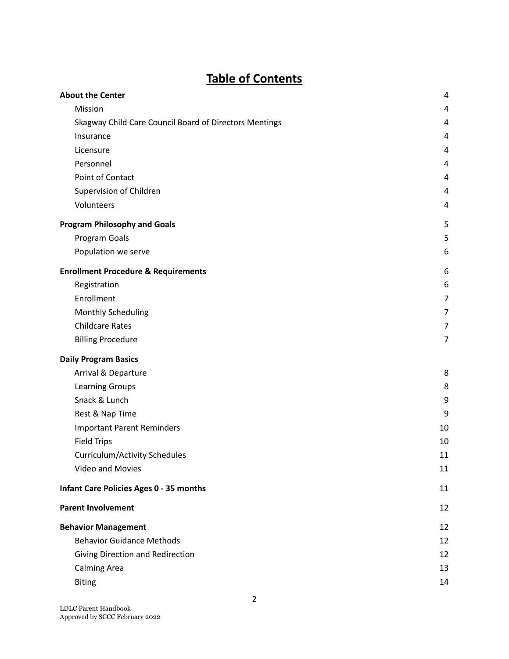# **Table of Contents**

| <b>About the Center</b>                                | 4              |
|--------------------------------------------------------|----------------|
| Mission                                                | 4              |
| Skagway Child Care Council Board of Directors Meetings | 4              |
| Insurance                                              | 4              |
| Licensure                                              | 4              |
| Personnel                                              | 4              |
| Point of Contact                                       | 4              |
| Supervision of Children                                | 4              |
| Volunteers                                             | 4              |
| <b>Program Philosophy and Goals</b>                    | 5              |
| Program Goals                                          | 5              |
| Population we serve                                    | 6              |
| <b>Enrollment Procedure &amp; Requirements</b>         | 6              |
| Registration                                           | 6              |
| Enrollment                                             | 7              |
| <b>Monthly Scheduling</b>                              | 7              |
| <b>Childcare Rates</b>                                 | 7              |
| <b>Billing Procedure</b>                               | $\overline{7}$ |
| <b>Daily Program Basics</b>                            |                |
| Arrival & Departure                                    | 8              |
| <b>Learning Groups</b>                                 | 8              |
| Snack & Lunch                                          | 9              |
| Rest & Nap Time                                        | 9              |
| <b>Important Parent Reminders</b>                      | 10             |
| <b>Field Trips</b>                                     | 10             |
| <b>Curriculum/Activity Schedules</b>                   | 11             |
| Video and Movies                                       | 11             |
| <b>Infant Care Policies Ages 0 - 35 months</b>         | 11             |
| <b>Parent Involvement</b>                              | 12             |
| <b>Behavior Management</b>                             | 12             |
| <b>Behavior Guidance Methods</b>                       | 12             |
| Giving Direction and Redirection                       | 12             |
| <b>Calming Area</b>                                    | 13             |
| <b>Biting</b>                                          | 14             |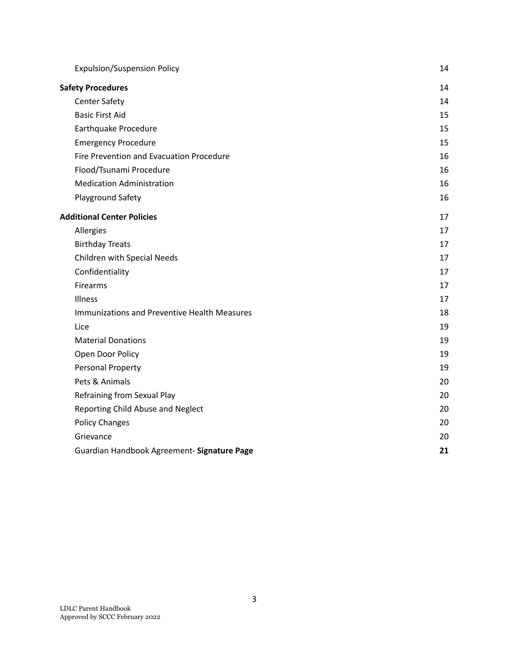| <b>Expulsion/Suspension Policy</b>           | 14 |
|----------------------------------------------|----|
| <b>Safety Procedures</b>                     | 14 |
| <b>Center Safety</b>                         | 14 |
| <b>Basic First Aid</b>                       | 15 |
| Earthquake Procedure                         | 15 |
| <b>Emergency Procedure</b>                   | 15 |
| Fire Prevention and Evacuation Procedure     | 16 |
| Flood/Tsunami Procedure                      | 16 |
| <b>Medication Administration</b>             | 16 |
| Playground Safety                            | 16 |
| <b>Additional Center Policies</b>            | 17 |
| Allergies                                    | 17 |
| <b>Birthday Treats</b>                       | 17 |
| Children with Special Needs                  | 17 |
| Confidentiality                              | 17 |
| Firearms                                     | 17 |
| Illness                                      | 17 |
| Immunizations and Preventive Health Measures | 18 |
| Lice                                         | 19 |
| <b>Material Donations</b>                    | 19 |
| Open Door Policy                             | 19 |
| Personal Property                            | 19 |
| Pets & Animals                               | 20 |
| Refraining from Sexual Play                  | 20 |
| Reporting Child Abuse and Neglect            | 20 |
| <b>Policy Changes</b>                        | 20 |
| Grievance                                    | 20 |
| Guardian Handbook Agreement- Signature Page  | 21 |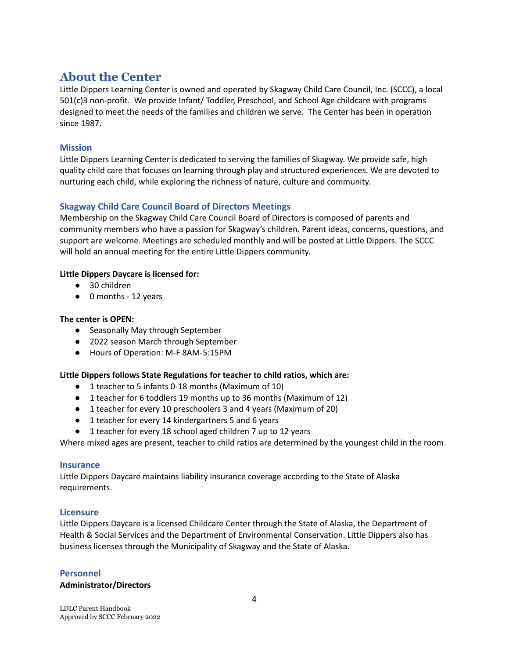# <span id="page-3-0"></span>**About the Center**

Little Dippers Learning Center is owned and operated by Skagway Child Care Council, Inc. (SCCC), a local 501(c)3 non-profit. We provide Infant/ Toddler, Preschool, and School Age childcare with programs designed to meet the needs of the families and children we serve. The Center has been in operation since 1987.

#### <span id="page-3-1"></span>**Mission**

Little Dippers Learning Center is dedicated to serving the families of Skagway. We provide safe, high quality child care that focuses on learning through play and structured experiences. We are devoted to nurturing each child, while exploring the richness of nature, culture and community.

#### <span id="page-3-2"></span>**Skagway Child Care Council Board of Directors Meetings**

Membership on the Skagway Child Care Council Board of Directors is composed of parents and community members who have a passion for Skagway's children. Parent ideas, concerns, questions, and support are welcome. Meetings are scheduled monthly and will be posted at Little Dippers. The SCCC will hold an annual meeting for the entire Little Dippers community.

#### **Little Dippers Daycare is licensed for:**

- 30 children
- 0 months 12 years

#### **The center is OPEN:**

- Seasonally May through September
- 2022 season March through September
- Hours of Operation: M-F 8AM-5:15PM

#### **Little Dippers follows State Regulations for teacher to child ratios, which are:**

- 1 teacher to 5 infants 0-18 months (Maximum of 10)
- 1 teacher for 6 toddlers 19 months up to 36 months (Maximum of 12)
- 1 teacher for every 10 preschoolers 3 and 4 years (Maximum of 20)
- 1 teacher for every 14 kindergartners 5 and 6 years
- 1 teacher for every 18 school aged children 7 up to 12 years

Where mixed ages are present, teacher to child ratios are determined by the youngest child in the room.

#### <span id="page-3-3"></span>**Insurance**

Little Dippers Daycare maintains liability insurance coverage according to the State of Alaska requirements.

#### <span id="page-3-4"></span>**Licensure**

Little Dippers Daycare is a licensed Childcare Center through the State of Alaska, the Department of Health & Social Services and the Department of Environmental Conservation. Little Dippers also has business licenses through the Municipality of Skagway and the State of Alaska.

#### **Personnel**

#### **Administrator/Directors**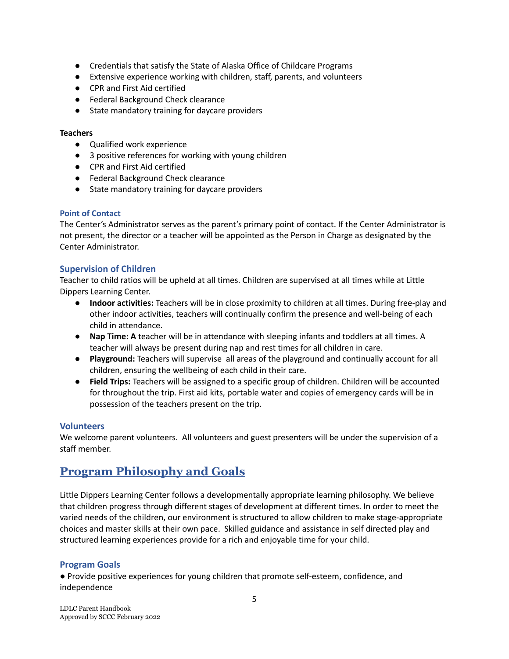- Credentials that satisfy the State of Alaska Office of Childcare Programs
- Extensive experience working with children, staff, parents, and volunteers
- CPR and First Aid certified
- Federal Background Check clearance
- State mandatory training for daycare providers

#### **Teachers**

- Qualified work experience
- 3 positive references for working with young children
- CPR and First Aid certified
- Federal Background Check clearance
- State mandatory training for daycare providers

#### <span id="page-4-0"></span>**Point of Contact**

The Center's Administrator serves as the parent's primary point of contact. If the Center Administrator is not present, the director or a teacher will be appointed as the Person in Charge as designated by the Center Administrator.

#### <span id="page-4-1"></span>**Supervision of Children**

Teacher to child ratios will be upheld at all times. Children are supervised at all times while at Little Dippers Learning Center.

- **● Indoor activities:** Teachers will be in close proximity to children at all times. During free-play and other indoor activities, teachers will continually confirm the presence and well-being of each child in attendance.
- **● Nap Time: A** teacher will be in attendance with sleeping infants and toddlers at all times. A teacher will always be present during nap and rest times for all children in care.
- **● Playground:** Teachers will supervise all areas of the playground and continually account for all children, ensuring the wellbeing of each child in their care.
- **Field Trips:** Teachers will be assigned to a specific group of children. Children will be accounted for throughout the trip. First aid kits, portable water and copies of emergency cards will be in possession of the teachers present on the trip.

#### <span id="page-4-2"></span>**Volunteers**

We welcome parent volunteers. All volunteers and guest presenters will be under the supervision of a staff member.

# <span id="page-4-3"></span>**Program Philosophy and Goals**

Little Dippers Learning Center follows a developmentally appropriate learning philosophy. We believe that children progress through different stages of development at different times. In order to meet the varied needs of the children, our environment is structured to allow children to make stage‐appropriate choices and master skills at their own pace. Skilled guidance and assistance in self directed play and structured learning experiences provide for a rich and enjoyable time for your child.

#### <span id="page-4-4"></span>**Program Goals**

● Provide positive experiences for young children that promote self‐esteem, confidence, and independence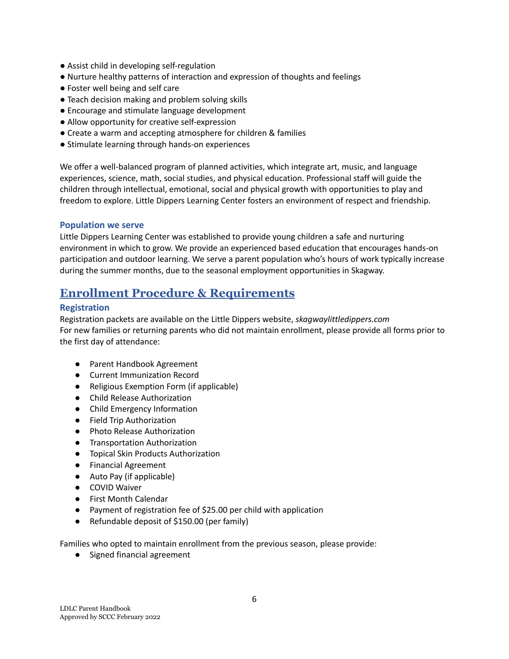- Assist child in developing self-regulation
- Nurture healthy patterns of interaction and expression of thoughts and feelings
- Foster well being and self care
- Teach decision making and problem solving skills
- Encourage and stimulate language development
- Allow opportunity for creative self-expression
- Create a warm and accepting atmosphere for children & families
- Stimulate learning through hands-on experiences

We offer a well-balanced program of planned activities, which integrate art, music, and language experiences, science, math, social studies, and physical education. Professional staff will guide the children through intellectual, emotional, social and physical growth with opportunities to play and freedom to explore. Little Dippers Learning Center fosters an environment of respect and friendship.

#### <span id="page-5-0"></span>**Population we serve**

Little Dippers Learning Center was established to provide young children a safe and nurturing environment in which to grow. We provide an experienced based education that encourages hands-on participation and outdoor learning. We serve a parent population who's hours of work typically increase during the summer months, due to the seasonal employment opportunities in Skagway.

## <span id="page-5-1"></span>**Enrollment Procedure & Requirements**

#### <span id="page-5-2"></span>**Registration**

Registration packets are available on the Little Dippers website, *skagwaylittledippers.com* For new families or returning parents who did not maintain enrollment, please provide all forms prior to the first day of attendance:

- Parent Handbook Agreement
- Current Immunization Record
- Religious Exemption Form (if applicable)
- Child Release Authorization
- Child Emergency Information
- Field Trip Authorization
- Photo Release Authorization
- Transportation Authorization
- Topical Skin Products Authorization
- Financial Agreement
- Auto Pay (if applicable)
- COVID Waiver
- First Month Calendar
- Payment of registration fee of \$25.00 per child with application
- Refundable deposit of \$150.00 (per family)

Families who opted to maintain enrollment from the previous season, please provide:

● Signed financial agreement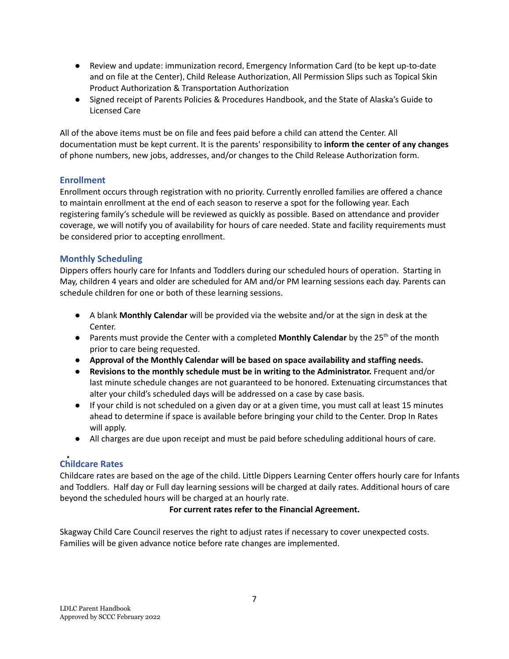- Review and update: immunization record, Emergency Information Card (to be kept up-to-date and on file at the Center), Child Release Authorization, All Permission Slips such as Topical Skin Product Authorization & Transportation Authorization
- Signed receipt of Parents Policies & Procedures Handbook, and the State of Alaska's Guide to Licensed Care

All of the above items must be on file and fees paid before a child can attend the Center. All documentation must be kept current. It is the parents' responsibility to **inform the center of any changes** of phone numbers, new jobs, addresses, and/or changes to the Child Release Authorization form.

## <span id="page-6-0"></span>**Enrollment**

Enrollment occurs through registration with no priority. Currently enrolled families are offered a chance to maintain enrollment at the end of each season to reserve a spot for the following year. Each registering family's schedule will be reviewed as quickly as possible. Based on attendance and provider coverage, we will notify you of availability for hours of care needed. State and facility requirements must be considered prior to accepting enrollment.

## <span id="page-6-1"></span>**Monthly Scheduling**

Dippers offers hourly care for Infants and Toddlers during our scheduled hours of operation. Starting in May, children 4 years and older are scheduled for AM and/or PM learning sessions each day. Parents can schedule children for one or both of these learning sessions.

- A blank **Monthly Calendar** will be provided via the website and/or at the sign in desk at the Center.
- **•** Parents must provide the Center with a completed **Monthly Calendar** by the 25<sup>th</sup> of the month prior to care being requested.
- **Approval of the Monthly Calendar will be based on space availability and staffing needs.**
- **Revisions to the monthly schedule must be in writing to the Administrator.** Frequent and/or last minute schedule changes are not guaranteed to be honored. Extenuating circumstances that alter your child's scheduled days will be addressed on a case by case basis.
- If your child is not scheduled on a given day or at a given time, you must call at least 15 minutes ahead to determine if space is available before bringing your child to the Center. Drop In Rates will apply.
- All charges are due upon receipt and must be paid before scheduling additional hours of care.

## <span id="page-6-2"></span>**Childcare Rates**

Childcare rates are based on the age of the child. Little Dippers Learning Center offers hourly care for Infants and Toddlers. Half day or Full day learning sessions will be charged at daily rates. Additional hours of care beyond the scheduled hours will be charged at an hourly rate.

#### **For current rates refer to the Financial Agreement.**

Skagway Child Care Council reserves the right to adjust rates if necessary to cover unexpected costs. Families will be given advance notice before rate changes are implemented.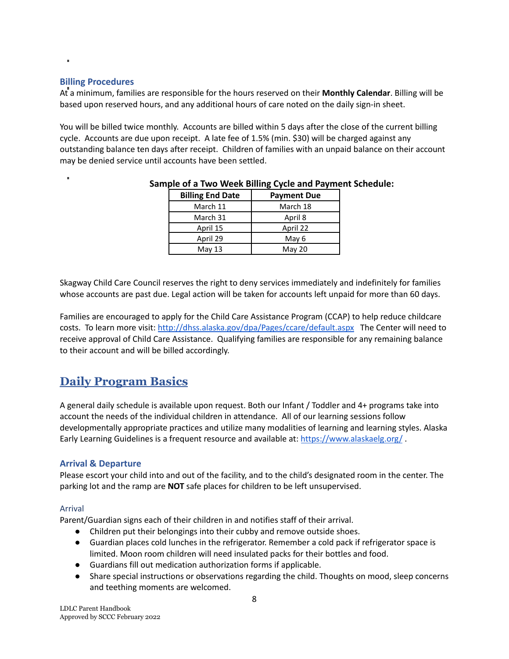#### **Billing Procedures**

<span id="page-7-0"></span> $\mathbf{u}$ 

At a minimum, families are responsible for the hours reserved on their **Monthly Calendar**. Billing will be based upon reserved hours, and any additional hours of care noted on the daily sign-in sheet.

You will be billed twice monthly. Accounts are billed within 5 days after the close of the current billing cycle. Accounts are due upon receipt. A late fee of 1.5% (min. \$30) will be charged against any outstanding balance ten days after receipt. Children of families with an unpaid balance on their account may be denied service until accounts have been settled.

| <b>Billing End Date</b> | <b>Payment Due</b> |
|-------------------------|--------------------|
| March 11                | March 18           |
| March 31                | April 8            |
| April 15                | April 22           |
| April 29                | May 6              |
| May $13$                | May 20             |

#### **Sample of a Two Week Billing Cycle and Payment Schedule:**

Skagway Child Care Council reserves the right to deny services immediately and indefinitely for families whose accounts are past due. Legal action will be taken for accounts left unpaid for more than 60 days.

Families are encouraged to apply for the Child Care Assistance Program (CCAP) to help reduce childcare costs. To learn more visit: <http://dhss.alaska.gov/dpa/Pages/ccare/default.aspx> The Center will need to receive approval of Child Care Assistance. Qualifying families are responsible for any remaining balance to their account and will be billed accordingly.

# <span id="page-7-1"></span>**Daily Program Basics**

A general daily schedule is available upon request. Both our Infant / Toddler and 4+ programs take into account the needs of the individual children in attendance. All of our learning sessions follow developmentally appropriate practices and utilize many modalities of learning and learning styles. Alaska Early Learning Guidelines is a frequent resource and available at: <https://www.alaskaelg.org/> .

#### <span id="page-7-2"></span>**Arrival & Departure**

Please escort your child into and out of the facility, and to the child's designated room in the center. The parking lot and the ramp are **NOT** safe places for children to be left unsupervised.

#### Arrival

Parent/Guardian signs each of their children in and notifies staff of their arrival.

- Children put their belongings into their cubby and remove outside shoes.
- Guardian places cold lunches in the refrigerator. Remember a cold pack if refrigerator space is limited. Moon room children will need insulated packs for their bottles and food.
- Guardians fill out medication authorization forms if applicable.
- Share special instructions or observations regarding the child. Thoughts on mood, sleep concerns and teething moments are welcomed.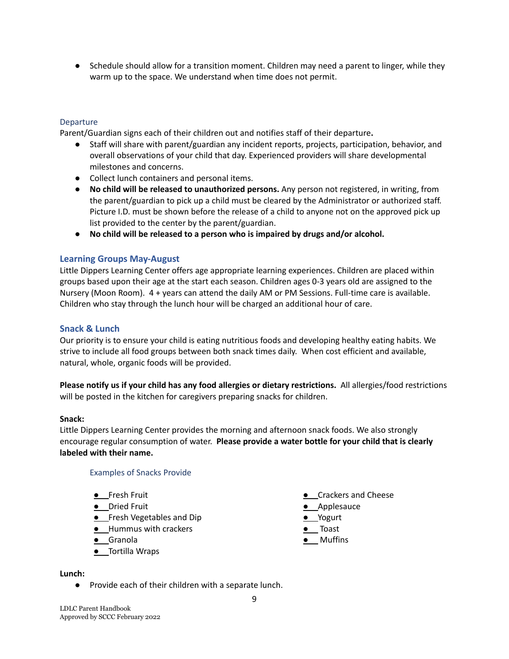● Schedule should allow for a transition moment. Children may need a parent to linger, while they warm up to the space. We understand when time does not permit.

#### Departure

Parent/Guardian signs each of their children out and notifies staff of their departure**.**

- Staff will share with parent/guardian any incident reports, projects, participation, behavior, and overall observations of your child that day. Experienced providers will share developmental milestones and concerns.
- Collect lunch containers and personal items.
- **No child will be released to unauthorized persons.** Any person not registered, in writing, from the parent/guardian to pick up a child must be cleared by the Administrator or authorized staff. Picture I.D. must be shown before the release of a child to anyone not on the approved pick up list provided to the center by the parent/guardian.
- **No child will be released to a person who is impaired by drugs and/or alcohol.**

#### <span id="page-8-0"></span>**Learning Groups May-August**

Little Dippers Learning Center offers age appropriate learning experiences. Children are placed within groups based upon their age at the start each season. Children ages 0-3 years old are assigned to the Nursery (Moon Room). 4 + years can attend the daily AM or PM Sessions. Full-time care is available. Children who stay through the lunch hour will be charged an additional hour of care.

#### <span id="page-8-1"></span>**Snack & Lunch**

Our priority is to ensure your child is eating nutritious foods and developing healthy eating habits. We strive to include all food groups between both snack times daily. When cost efficient and available, natural, whole, organic foods will be provided.

**Please notify us if your child has any food allergies or dietary restrictions.** All allergies/food restrictions will be posted in the kitchen for caregivers preparing snacks for children.

#### **Snack:**

Little Dippers Learning Center provides the morning and afternoon snack foods. We also strongly encourage regular consumption of water. **Please provide a water bottle for your child that is clearly labeled with their name.**

Examples of Snacks Provide

- **●** Fresh Fruit
- **●** Dried Fruit
- **•** Fresh Vegetables and Dip
- **●** Hummus with crackers
- **●** Granola
- **●** Tortilla Wraps
- **Lunch:**
	- Provide each of their children with a separate lunch.
- LDLC Parent Handbook Approved by SCCC February 2022
- **●** Crackers and Cheese
- **●** Applesauce
- **●** Yogurt
- **●** Toast
- **●** Muffins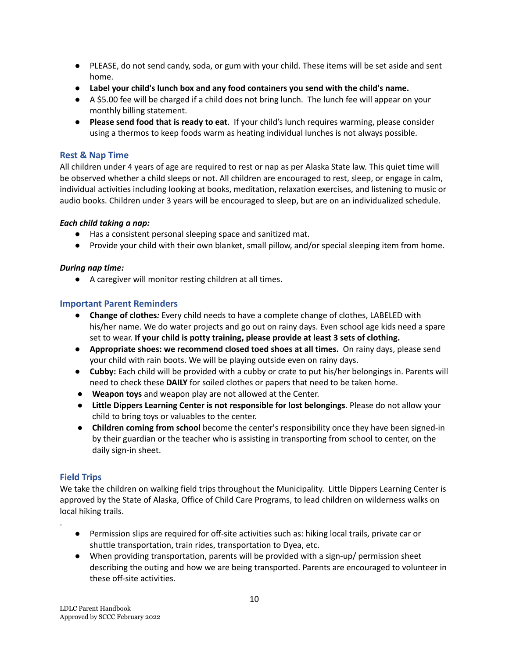- PLEASE, do not send candy, soda, or gum with your child. These items will be set aside and sent home.
- **● Label your child's lunch box and any food containers you send with the child's name.**
- A \$5.00 fee will be charged if a child does not bring lunch. The lunch fee will appear on your monthly billing statement.
- **Please send food that is ready to eat**. If your child's lunch requires warming, please consider using a thermos to keep foods warm as heating individual lunches is not always possible.

#### <span id="page-9-0"></span>**Rest & Nap Time**

All children under 4 years of age are required to rest or nap as per Alaska State law. This quiet time will be observed whether a child sleeps or not. All children are encouraged to rest, sleep, or engage in calm, individual activities including looking at books, meditation, relaxation exercises, and listening to music or audio books. Children under 3 years will be encouraged to sleep, but are on an individualized schedule.

#### *Each child taking a nap:*

- Has a consistent personal sleeping space and sanitized mat.
- Provide your child with their own blanket, small pillow, and/or special sleeping item from home.

## *During nap time:*

● A caregiver will monitor resting children at all times.

## <span id="page-9-1"></span>**Important Parent Reminders**

- **Change of clothes***:* Every child needs to have a complete change of clothes, LABELED with his/her name. We do water projects and go out on rainy days. Even school age kids need a spare set to wear. **If your child is potty training, please provide at least 3 sets of clothing.**
- **● Appropriate shoes: we recommend closed toed shoes at all times.** On rainy days, please send your child with rain boots. We will be playing outside even on rainy days.
- **● Cubby:** Each child will be provided with a cubby or crate to put his/her belongings in. Parents will need to check these **DAILY** for soiled clothes or papers that need to be taken home.
- **Weapon toys** and weapon play are not allowed at the Center.
- **Little Dippers Learning Center is not responsible for lost belongings**. Please do not allow your child to bring toys or valuables to the center.
- **Children coming from school** become the center's responsibility once they have been signed-in by their guardian or the teacher who is assisting in transporting from school to center, on the daily sign-in sheet.

## <span id="page-9-2"></span>**Field Trips**

.

We take the children on walking field trips throughout the Municipality. Little Dippers Learning Center is approved by the State of Alaska, Office of Child Care Programs, to lead children on wilderness walks on local hiking trails.

- Permission slips are required for off-site activities such as: hiking local trails, private car or shuttle transportation, train rides, transportation to Dyea, etc.
- When providing transportation, parents will be provided with a sign-up/ permission sheet describing the outing and how we are being transported. Parents are encouraged to volunteer in these off-site activities.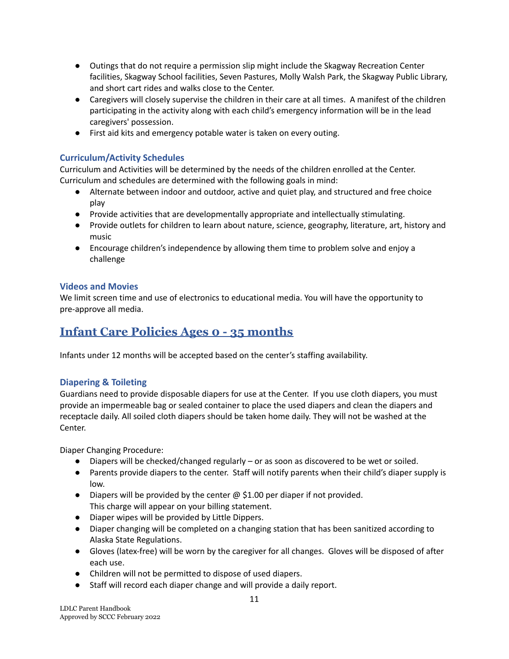- Outings that do not require a permission slip might include the Skagway Recreation Center facilities, Skagway School facilities, Seven Pastures, Molly Walsh Park, the Skagway Public Library, and short cart rides and walks close to the Center.
- Caregivers will closely supervise the children in their care at all times. A manifest of the children participating in the activity along with each child's emergency information will be in the lead caregivers' possession.
- First aid kits and emergency potable water is taken on every outing.

## <span id="page-10-0"></span>**Curriculum/Activity Schedules**

Curriculum and Activities will be determined by the needs of the children enrolled at the Center. Curriculum and schedules are determined with the following goals in mind:

- Alternate between indoor and outdoor, active and quiet play, and structured and free choice play
- Provide activities that are developmentally appropriate and intellectually stimulating.
- Provide outlets for children to learn about nature, science, geography, literature, art, history and music
- Encourage children's independence by allowing them time to problem solve and enjoy a challenge

## **Videos and Movies**

We limit screen time and use of electronics to educational media. You will have the opportunity to pre-approve all media.

# <span id="page-10-1"></span>**Infant Care Policies Ages 0 - 35 months**

Infants under 12 months will be accepted based on the center's staffing availability.

#### **Diapering & Toileting**

Guardians need to provide disposable diapers for use at the Center. If you use cloth diapers, you must provide an impermeable bag or sealed container to place the used diapers and clean the diapers and receptacle daily. All soiled cloth diapers should be taken home daily. They will not be washed at the Center.

Diaper Changing Procedure:

- Diapers will be checked/changed regularly or as soon as discovered to be wet or soiled.
- Parents provide diapers to the center. Staff will notify parents when their child's diaper supply is low.
- Diapers will be provided by the center  $\omega$  \$1.00 per diaper if not provided. This charge will appear on your billing statement.
- Diaper wipes will be provided by Little Dippers.
- Diaper changing will be completed on a changing station that has been sanitized according to Alaska State Regulations.
- Gloves (latex-free) will be worn by the caregiver for all changes. Gloves will be disposed of after each use.
- Children will not be permitted to dispose of used diapers.
- Staff will record each diaper change and will provide a daily report.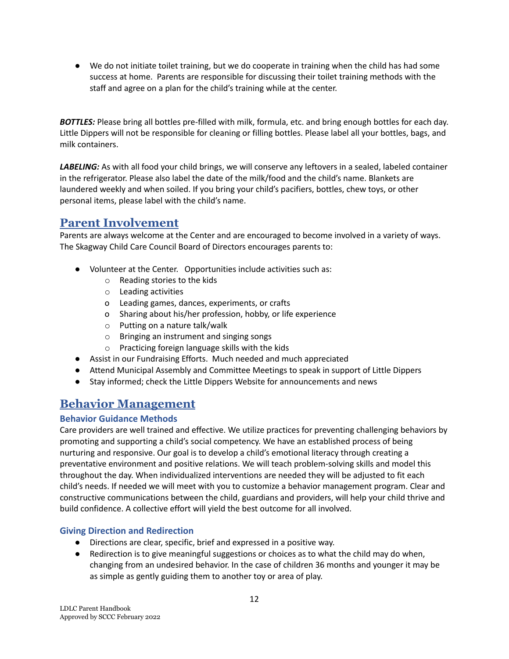● We do not initiate toilet training, but we do cooperate in training when the child has had some success at home. Parents are responsible for discussing their toilet training methods with the staff and agree on a plan for the child's training while at the center.

*BOTTLES:* Please bring all bottles pre-filled with milk, formula, etc. and bring enough bottles for each day. Little Dippers will not be responsible for cleaning or filling bottles. Please label all your bottles, bags, and milk containers.

*LABELING:* As with all food your child brings, we will conserve any leftovers in a sealed, labeled container in the refrigerator. Please also label the date of the milk/food and the child's name. Blankets are laundered weekly and when soiled. If you bring your child's pacifiers, bottles, chew toys, or other personal items, please label with the child's name.

# <span id="page-11-0"></span>**Parent Involvement**

Parents are always welcome at the Center and are encouraged to become involved in a variety of ways. The Skagway Child Care Council Board of Directors encourages parents to:

- Volunteer at the Center. Opportunities include activities such as:
	- o Reading stories to the kids
	- o Leading activities
	- o Leading games, dances, experiments, or crafts
	- o Sharing about his/her profession, hobby, or life experience
	- o Putting on a nature talk/walk
	- o Bringing an instrument and singing songs
	- o Practicing foreign language skills with the kids
- Assist in our Fundraising Efforts. Much needed and much appreciated
- Attend Municipal Assembly and Committee Meetings to speak in support of Little Dippers
- Stay informed; check the Little Dippers Website for announcements and news

# <span id="page-11-1"></span>**Behavior Management**

#### <span id="page-11-2"></span>**Behavior Guidance Methods**

Care providers are well trained and effective. We utilize practices for preventing challenging behaviors by promoting and supporting a child's social competency. We have an established process of being nurturing and responsive. Our goal is to develop a child's emotional literacy through creating a preventative environment and positive relations. We will teach problem-solving skills and model this throughout the day. When individualized interventions are needed they will be adjusted to fit each child's needs. If needed we will meet with you to customize a behavior management program. Clear and constructive communications between the child, guardians and providers, will help your child thrive and build confidence. A collective effort will yield the best outcome for all involved.

#### <span id="page-11-3"></span>**Giving Direction and Redirection**

- Directions are clear, specific, brief and expressed in a positive way.
- Redirection is to give meaningful suggestions or choices as to what the child may do when, changing from an undesired behavior. In the case of children 36 months and younger it may be as simple as gently guiding them to another toy or area of play.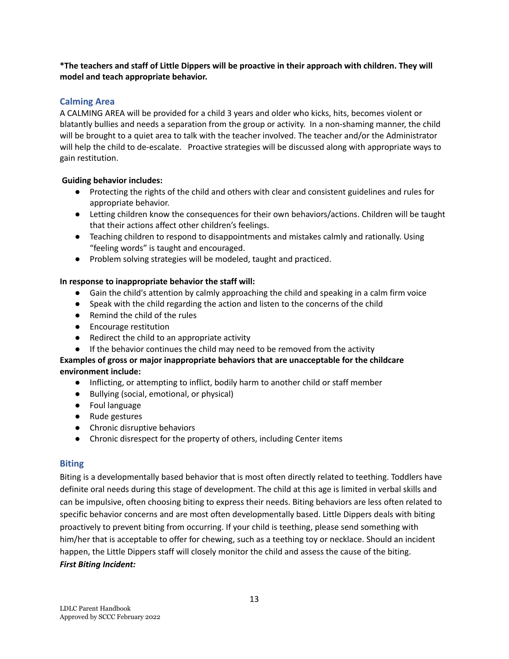#### **\*The teachers and staff of Little Dippers will be proactive in their approach with children. They will model and teach appropriate behavior.**

## <span id="page-12-0"></span>**Calming Area**

A CALMING AREA will be provided for a child 3 years and older who kicks, hits, becomes violent or blatantly bullies and needs a separation from the group or activity. In a non-shaming manner, the child will be brought to a quiet area to talk with the teacher involved. The teacher and/or the Administrator will help the child to de-escalate. Proactive strategies will be discussed along with appropriate ways to gain restitution.

#### **Guiding behavior includes:**

- Protecting the rights of the child and others with clear and consistent guidelines and rules for appropriate behavior.
- Letting children know the consequences for their own behaviors/actions. Children will be taught that their actions affect other children's feelings.
- Teaching children to respond to disappointments and mistakes calmly and rationally. Using "feeling words" is taught and encouraged.
- Problem solving strategies will be modeled, taught and practiced.

#### **In response to inappropriate behavior the staff will:**

- Gain the child's attention by calmly approaching the child and speaking in a calm firm voice
- Speak with the child regarding the action and listen to the concerns of the child
- Remind the child of the rules
- Encourage restitution
- Redirect the child to an appropriate activity
- If the behavior continues the child may need to be removed from the activity

## **Examples of gross or major inappropriate behaviors that are unacceptable for the childcare environment include:**

- Inflicting, or attempting to inflict, bodily harm to another child or staff member
- Bullying (social, emotional, or physical)
- Foul language
- Rude gestures
- Chronic disruptive behaviors
- Chronic disrespect for the property of others, including Center items

#### <span id="page-12-1"></span>**Biting**

Biting is a developmentally based behavior that is most often directly related to teething. Toddlers have definite oral needs during this stage of development. The child at this age is limited in verbal skills and can be impulsive, often choosing biting to express their needs. Biting behaviors are less often related to specific behavior concerns and are most often developmentally based. Little Dippers deals with biting proactively to prevent biting from occurring. If your child is teething, please send something with him/her that is acceptable to offer for chewing, such as a teething toy or necklace. Should an incident happen, the Little Dippers staff will closely monitor the child and assess the cause of the biting. *First Biting Incident:*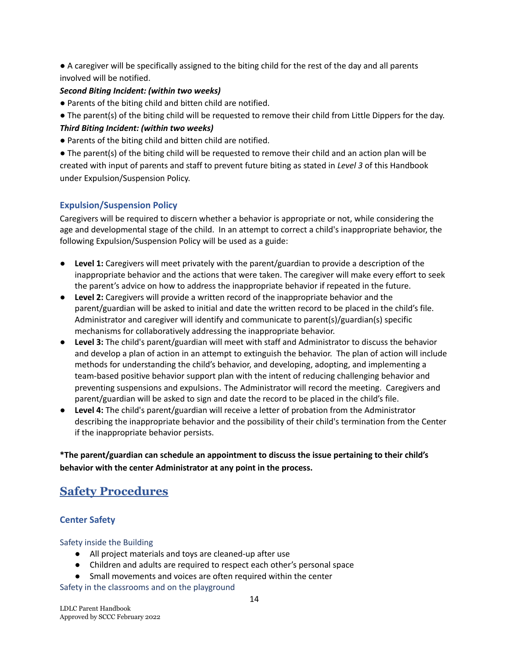● A caregiver will be specifically assigned to the biting child for the rest of the day and all parents involved will be notified.

#### *Second Biting Incident: (within two weeks)*

- Parents of the biting child and bitten child are notified.
- The parent(s) of the biting child will be requested to remove their child from Little Dippers for the day. *Third Biting Incident: (within two weeks)*
- Parents of the biting child and bitten child are notified.

● The parent(s) of the biting child will be requested to remove their child and an action plan will be created with input of parents and staff to prevent future biting as stated in *Level 3* of this Handbook under Expulsion/Suspension Policy.

#### <span id="page-13-0"></span>**Expulsion/Suspension Policy**

Caregivers will be required to discern whether a behavior is appropriate or not, while considering the age and developmental stage of the child. In an attempt to correct a child's inappropriate behavior, the following Expulsion/Suspension Policy will be used as a guide:

- **Level 1:** Caregivers will meet privately with the parent/guardian to provide a description of the inappropriate behavior and the actions that were taken. The caregiver will make every effort to seek the parent's advice on how to address the inappropriate behavior if repeated in the future.
- **Level 2:** Caregivers will provide a written record of the inappropriate behavior and the parent/guardian will be asked to initial and date the written record to be placed in the child's file. Administrator and caregiver will identify and communicate to parent(s)/guardian(s) specific mechanisms for collaboratively addressing the inappropriate behavior.
- **Level 3:** The child's parent/guardian will meet with staff and Administrator to discuss the behavior and develop a plan of action in an attempt to extinguish the behavior. The plan of action will include methods for understanding the child's behavior, and developing, adopting, and implementing a team-based positive behavior support plan with the intent of reducing challenging behavior and preventing suspensions and expulsions. The Administrator will record the meeting. Caregivers and parent/guardian will be asked to sign and date the record to be placed in the child's file.
- **Level 4:** The child's parent/guardian will receive a letter of probation from the Administrator describing the inappropriate behavior and the possibility of their child's termination from the Center if the inappropriate behavior persists.

**\*The parent/guardian can schedule an appointment to discuss the issue pertaining to their child's behavior with the center Administrator at any point in the process.**

# <span id="page-13-2"></span><span id="page-13-1"></span>**Safety Procedures**

#### **Center Safety**

#### Safety inside the Building

- All project materials and toys are cleaned-up after use
- Children and adults are required to respect each other's personal space
- Small movements and voices are often required within the center

Safety in the classrooms and on the playground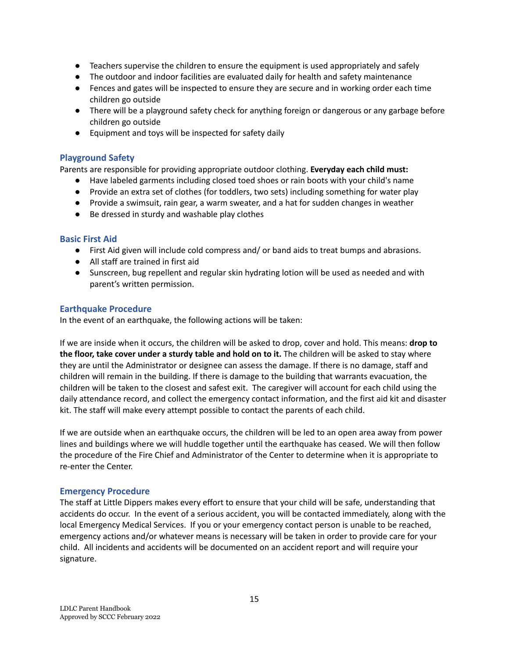- Teachers supervise the children to ensure the equipment is used appropriately and safely
- The outdoor and indoor facilities are evaluated daily for health and safety maintenance
- Fences and gates will be inspected to ensure they are secure and in working order each time children go outside
- There will be a playground safety check for anything foreign or dangerous or any garbage before children go outside
- Equipment and toys will be inspected for safety daily

#### <span id="page-14-3"></span>**Playground Safety**

Parents are responsible for providing appropriate outdoor clothing. **Everyday each child must:**

- Have labeled garments including closed toed shoes or rain boots with your child's name
- Provide an extra set of clothes (for toddlers, two sets) including something for water play
- Provide a swimsuit, rain gear, a warm sweater, and a hat for sudden changes in weather
- Be dressed in sturdy and washable play clothes

#### <span id="page-14-0"></span>**Basic First Aid**

- First Aid given will include cold compress and/ or band aids to treat bumps and abrasions.
- All staff are trained in first aid
- Sunscreen, bug repellent and regular skin hydrating lotion will be used as needed and with parent's written permission.

#### <span id="page-14-1"></span>**Earthquake Procedure**

In the event of an earthquake, the following actions will be taken:

If we are inside when it occurs, the children will be asked to drop, cover and hold. This means: **drop to the floor, take cover under a sturdy table and hold on to it.** The children will be asked to stay where they are until the Administrator or designee can assess the damage. If there is no damage, staff and children will remain in the building. If there is damage to the building that warrants evacuation, the children will be taken to the closest and safest exit. The caregiver will account for each child using the daily attendance record, and collect the emergency contact information, and the first aid kit and disaster kit. The staff will make every attempt possible to contact the parents of each child.

If we are outside when an earthquake occurs, the children will be led to an open area away from power lines and buildings where we will huddle together until the earthquake has ceased. We will then follow the procedure of the Fire Chief and Administrator of the Center to determine when it is appropriate to re-enter the Center.

#### <span id="page-14-2"></span>**Emergency Procedure**

The staff at Little Dippers makes every effort to ensure that your child will be safe, understanding that accidents do occur. In the event of a serious accident, you will be contacted immediately, along with the local Emergency Medical Services. If you or your emergency contact person is unable to be reached, emergency actions and/or whatever means is necessary will be taken in order to provide care for your child. All incidents and accidents will be documented on an accident report and will require your signature.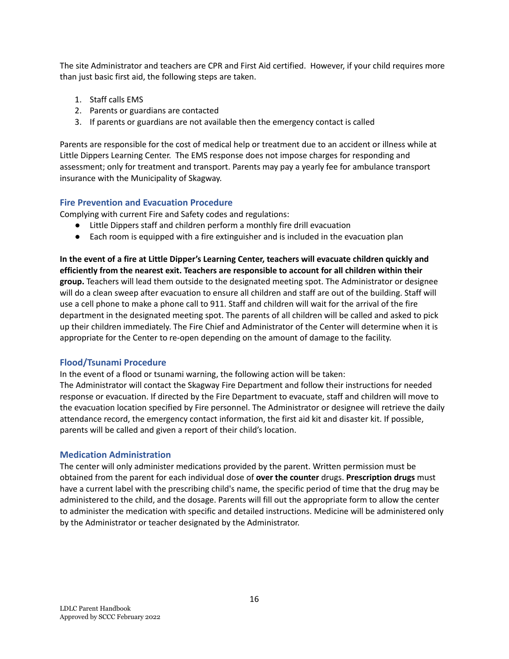The site Administrator and teachers are CPR and First Aid certified. However, if your child requires more than just basic first aid, the following steps are taken.

- 1. Staff calls EMS
- 2. Parents or guardians are contacted
- 3. If parents or guardians are not available then the emergency contact is called

Parents are responsible for the cost of medical help or treatment due to an accident or illness while at Little Dippers Learning Center. The EMS response does not impose charges for responding and assessment; only for treatment and transport. Parents may pay a yearly fee for ambulance transport insurance with the Municipality of Skagway.

#### <span id="page-15-0"></span>**Fire Prevention and Evacuation Procedure**

Complying with current Fire and Safety codes and regulations:

- Little Dippers staff and children perform a monthly fire drill evacuation
- Each room is equipped with a fire extinguisher and is included in the evacuation plan

**In the event of a fire at Little Dipper's Learning Center, teachers will evacuate children quickly and efficiently from the nearest exit. Teachers are responsible to account for all children within their group.** Teachers will lead them outside to the designated meeting spot. The Administrator or designee will do a clean sweep after evacuation to ensure all children and staff are out of the building. Staff will use a cell phone to make a phone call to 911. Staff and children will wait for the arrival of the fire department in the designated meeting spot. The parents of all children will be called and asked to pick up their children immediately. The Fire Chief and Administrator of the Center will determine when it is appropriate for the Center to re-open depending on the amount of damage to the facility.

#### <span id="page-15-1"></span>**Flood/Tsunami Procedure**

In the event of a flood or tsunami warning, the following action will be taken:

The Administrator will contact the Skagway Fire Department and follow their instructions for needed response or evacuation. If directed by the Fire Department to evacuate, staff and children will move to the evacuation location specified by Fire personnel. The Administrator or designee will retrieve the daily attendance record, the emergency contact information, the first aid kit and disaster kit. If possible, parents will be called and given a report of their child's location.

#### <span id="page-15-2"></span>**Medication Administration**

The center will only administer medications provided by the parent. Written permission must be obtained from the parent for each individual dose of **over the counter** drugs. **Prescription drugs** must have a current label with the prescribing child's name, the specific period of time that the drug may be administered to the child, and the dosage. Parents will fill out the appropriate form to allow the center to administer the medication with specific and detailed instructions. Medicine will be administered only by the Administrator or teacher designated by the Administrator.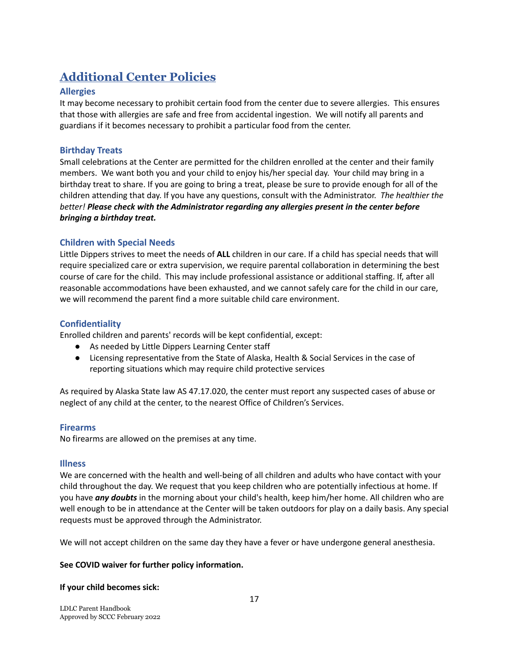# **Additional Center Policies**

## <span id="page-16-0"></span>**Allergies**

It may become necessary to prohibit certain food from the center due to severe allergies. This ensures that those with allergies are safe and free from accidental ingestion. We will notify all parents and guardians if it becomes necessary to prohibit a particular food from the center.

#### <span id="page-16-1"></span>**Birthday Treats**

Small celebrations at the Center are permitted for the children enrolled at the center and their family members. We want both you and your child to enjoy his/her special day. Your child may bring in a birthday treat to share. If you are going to bring a treat, please be sure to provide enough for all of the children attending that day. If you have any questions, consult with the Administrator. *The healthier the better! Please check with the Administrator regarding any allergies present in the center before bringing a birthday treat.*

## <span id="page-16-2"></span>**Children with Special Needs**

Little Dippers strives to meet the needs of **ALL** children in our care. If a child has special needs that will require specialized care or extra supervision, we require parental collaboration in determining the best course of care for the child. This may include professional assistance or additional staffing. If, after all reasonable accommodations have been exhausted, and we cannot safely care for the child in our care, we will recommend the parent find a more suitable child care environment.

#### <span id="page-16-3"></span>**Confidentiality**

Enrolled children and parents' records will be kept confidential, except:

- As needed by Little Dippers Learning Center staff
- Licensing representative from the State of Alaska, Health & Social Services in the case of reporting situations which may require child protective services

As required by Alaska State law AS 47.17.020, the center must report any suspected cases of abuse or neglect of any child at the center, to the nearest Office of Children's Services.

#### <span id="page-16-4"></span>**Firearms**

No firearms are allowed on the premises at any time.

#### <span id="page-16-5"></span>**Illness**

We are concerned with the health and well-being of all children and adults who have contact with your child throughout the day. We request that you keep children who are potentially infectious at home. If you have *any doubts* in the morning about your child's health, keep him/her home. All children who are well enough to be in attendance at the Center will be taken outdoors for play on a daily basis. Any special requests must be approved through the Administrator.

We will not accept children on the same day they have a fever or have undergone general anesthesia.

#### **See COVID waiver for further policy information.**

#### **If your child becomes sick:**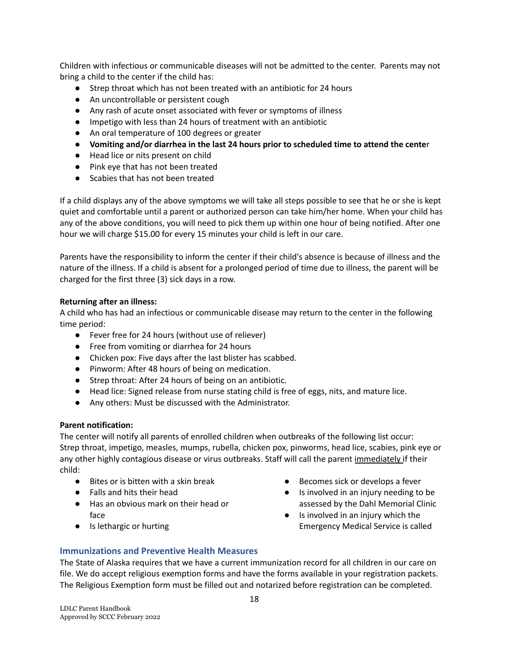Children with infectious or communicable diseases will not be admitted to the center. Parents may not bring a child to the center if the child has:

- Strep throat which has not been treated with an antibiotic for 24 hours
- An uncontrollable or persistent cough
- Any rash of acute onset associated with fever or symptoms of illness
- Impetigo with less than 24 hours of treatment with an antibiotic
- An oral temperature of 100 degrees or greater
- **Vomiting and/or diarrhea in the last 24 hours prior to scheduled time to attend the cente**r
- Head lice or nits present on child
- Pink eye that has not been treated
- Scabies that has not been treated

If a child displays any of the above symptoms we will take all steps possible to see that he or she is kept quiet and comfortable until a parent or authorized person can take him/her home. When your child has any of the above conditions, you will need to pick them up within one hour of being notified. After one hour we will charge \$15.00 for every 15 minutes your child is left in our care.

Parents have the responsibility to inform the center if their child's absence is because of illness and the nature of the illness. If a child is absent for a prolonged period of time due to illness, the parent will be charged for the first three (3) sick days in a row.

#### **Returning after an illness:**

A child who has had an infectious or communicable disease may return to the center in the following time period:

- Fever free for 24 hours (without use of reliever)
- Free from vomiting or diarrhea for 24 hours
- Chicken pox: Five days after the last blister has scabbed.
- Pinworm: After 48 hours of being on medication.
- Strep throat: After 24 hours of being on an antibiotic.
- Head lice: Signed release from nurse stating child is free of eggs, nits, and mature lice.
- Any others: Must be discussed with the Administrator.

#### **Parent notification:**

The center will notify all parents of enrolled children when outbreaks of the following list occur: Strep throat, impetigo, measles, mumps, rubella, chicken pox, pinworms, head lice, scabies, pink eye or any other highly contagious disease or virus outbreaks. Staff will call the parent immediately if their child:

- Bites or is bitten with a skin break
- Falls and hits their head
- Has an obvious mark on their head or face
- Is lethargic or hurting
- Becomes sick or develops a fever
- Is involved in an injury needing to be assessed by the Dahl Memorial Clinic
- Is involved in an injury which the Emergency Medical Service is called

#### <span id="page-17-0"></span>**Immunizations and Preventive Health Measures**

The State of Alaska requires that we have a current immunization record for all children in our care on file. We do accept religious exemption forms and have the forms available in your registration packets. The Religious Exemption form must be filled out and notarized before registration can be completed.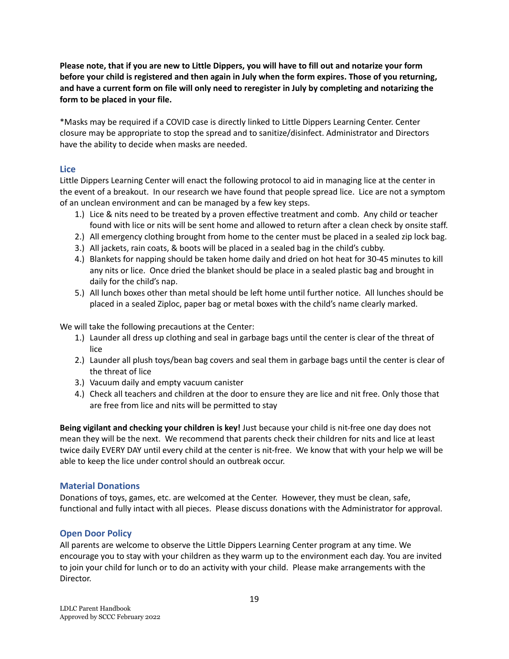Please note, that if you are new to Little Dippers, you will have to fill out and notarize your form before your child is registered and then again in July when the form expires. Those of you returning, and have a current form on file will only need to reregister in July by completing and notarizing the **form to be placed in your file.**

\*Masks may be required if a COVID case is directly linked to Little Dippers Learning Center. Center closure may be appropriate to stop the spread and to sanitize/disinfect. Administrator and Directors have the ability to decide when masks are needed.

#### <span id="page-18-0"></span>**Lice**

Little Dippers Learning Center will enact the following protocol to aid in managing lice at the center in the event of a breakout. In our research we have found that people spread lice. Lice are not a symptom of an unclean environment and can be managed by a few key steps.

- 1.) Lice & nits need to be treated by a proven effective treatment and comb. Any child or teacher found with lice or nits will be sent home and allowed to return after a clean check by onsite staff.
- 2.) All emergency clothing brought from home to the center must be placed in a sealed zip lock bag.
- 3.) All jackets, rain coats, & boots will be placed in a sealed bag in the child's cubby.
- 4.) Blankets for napping should be taken home daily and dried on hot heat for 30-45 minutes to kill any nits or lice. Once dried the blanket should be place in a sealed plastic bag and brought in daily for the child's nap.
- 5.) All lunch boxes other than metal should be left home until further notice. All lunches should be placed in a sealed Ziploc, paper bag or metal boxes with the child's name clearly marked.

We will take the following precautions at the Center:

- 1.) Launder all dress up clothing and seal in garbage bags until the center is clear of the threat of lice
- 2.) Launder all plush toys/bean bag covers and seal them in garbage bags until the center is clear of the threat of lice
- 3.) Vacuum daily and empty vacuum canister
- 4.) Check all teachers and children at the door to ensure they are lice and nit free. Only those that are free from lice and nits will be permitted to stay

**Being vigilant and checking your children is key!** Just because your child is nit-free one day does not mean they will be the next. We recommend that parents check their children for nits and lice at least twice daily EVERY DAY until every child at the center is nit-free. We know that with your help we will be able to keep the lice under control should an outbreak occur.

#### <span id="page-18-1"></span>**Material Donations**

Donations of toys, games, etc. are welcomed at the Center. However, they must be clean, safe, functional and fully intact with all pieces. Please discuss donations with the Administrator for approval.

#### <span id="page-18-2"></span>**Open Door Policy**

All parents are welcome to observe the Little Dippers Learning Center program at any time. We encourage you to stay with your children as they warm up to the environment each day. You are invited to join your child for lunch or to do an activity with your child. Please make arrangements with the Director.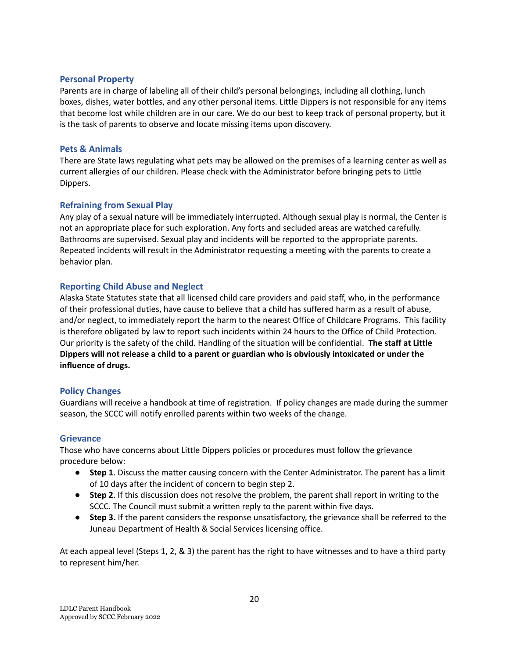#### <span id="page-19-0"></span>**Personal Property**

Parents are in charge of labeling all of their child's personal belongings, including all clothing, lunch boxes, dishes, water bottles, and any other personal items. Little Dippers is not responsible for any items that become lost while children are in our care. We do our best to keep track of personal property, but it is the task of parents to observe and locate missing items upon discovery.

#### <span id="page-19-1"></span>**Pets & Animals**

There are State laws regulating what pets may be allowed on the premises of a learning center as well as current allergies of our children. Please check with the Administrator before bringing pets to Little Dippers.

#### <span id="page-19-2"></span>**Refraining from Sexual Play**

Any play of a sexual nature will be immediately interrupted. Although sexual play is normal, the Center is not an appropriate place for such exploration. Any forts and secluded areas are watched carefully. Bathrooms are supervised. Sexual play and incidents will be reported to the appropriate parents. Repeated incidents will result in the Administrator requesting a meeting with the parents to create a behavior plan.

#### <span id="page-19-3"></span>**Reporting Child Abuse and Neglect**

Alaska State Statutes state that all licensed child care providers and paid staff, who, in the performance of their professional duties, have cause to believe that a child has suffered harm as a result of abuse, and/or neglect, to immediately report the harm to the nearest Office of Childcare Programs. This facility is therefore obligated by law to report such incidents within 24 hours to the Office of Child Protection. Our priority is the safety of the child. Handling of the situation will be confidential. **The staff at Little Dippers will not release a child to a parent or guardian who is obviously intoxicated or under the influence of drugs.**

#### <span id="page-19-4"></span>**Policy Changes**

Guardians will receive a handbook at time of registration. If policy changes are made during the summer season, the SCCC will notify enrolled parents within two weeks of the change.

#### <span id="page-19-5"></span>**Grievance**

Those who have concerns about Little Dippers policies or procedures must follow the grievance procedure below:

- **Step 1**. Discuss the matter causing concern with the Center Administrator. The parent has a limit of 10 days after the incident of concern to begin step 2.
- **Step 2**. If this discussion does not resolve the problem, the parent shall report in writing to the SCCC. The Council must submit a written reply to the parent within five days.
- **Step 3.** If the parent considers the response unsatisfactory, the grievance shall be referred to the Juneau Department of Health & Social Services licensing office.

At each appeal level (Steps 1, 2, & 3) the parent has the right to have witnesses and to have a third party to represent him/her.